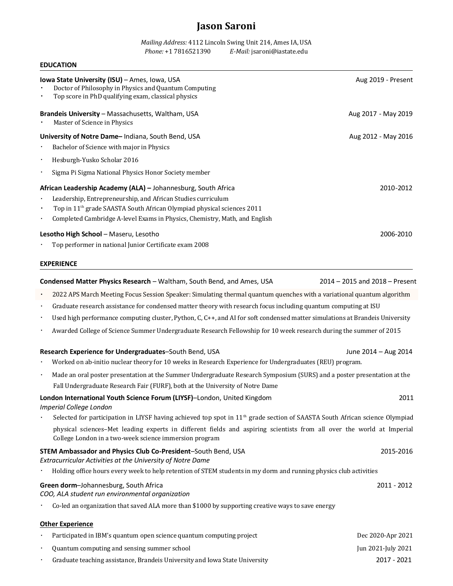## **Jason Saroni**

*Mailing Address:* 4112 Lincoln Swing Unit 214, Ames IA, USA *Phone:* +1 7816521390 *E-Mail:* jsaroni@iastate.edu

## **EDUCATION**

| $\bullet$              | Iowa State University (ISU) - Ames, Iowa, USA<br>Doctor of Philosophy in Physics and Quantum Computing<br>Top score in PhD qualifying exam, classical physics                                                                                                                                     | Aug 2019 - Present                 |
|------------------------|---------------------------------------------------------------------------------------------------------------------------------------------------------------------------------------------------------------------------------------------------------------------------------------------------|------------------------------------|
|                        | Brandeis University - Massachusetts, Waltham, USA<br>Master of Science in Physics                                                                                                                                                                                                                 | Aug 2017 - May 2019                |
|                        | University of Notre Dame-Indiana, South Bend, USA                                                                                                                                                                                                                                                 | Aug 2012 - May 2016                |
|                        | Bachelor of Science with major in Physics                                                                                                                                                                                                                                                         |                                    |
| $\bullet$              | Hesburgh-Yusko Scholar 2016                                                                                                                                                                                                                                                                       |                                    |
| $\bullet$              | Sigma Pi Sigma National Physics Honor Society member                                                                                                                                                                                                                                              |                                    |
| $\bullet$<br>$\bullet$ | African Leadership Academy (ALA) - Johannesburg, South Africa<br>Leadership, Entrepreneurship, and African Studies curriculum<br>Top in 11 <sup>th</sup> grade SAASTA South African Olympiad physical sciences 2011<br>Completed Cambridge A-level Exams in Physics, Chemistry, Math, and English | 2010-2012                          |
|                        | Lesotho High School - Maseru, Lesotho                                                                                                                                                                                                                                                             | 2006-2010                          |
|                        | Top performer in national Junior Certificate exam 2008                                                                                                                                                                                                                                            |                                    |
|                        | <b>EXPERIENCE</b>                                                                                                                                                                                                                                                                                 |                                    |
|                        | Condensed Matter Physics Research - Waltham, South Bend, and Ames, USA                                                                                                                                                                                                                            | $2014 - 2015$ and $2018 -$ Present |
| $\bullet$              | 2022 APS March Meeting Focus Session Speaker: Simulating thermal quantum quenches with a variational quantum algorithm                                                                                                                                                                            |                                    |
| $\bullet$              | Graduate research assistance for condensed matter theory with research focus including quantum computing at ISU                                                                                                                                                                                   |                                    |
| $\bullet$              | Used high performance computing cluster, Python, C, C++, and AI for soft condensed matter simulations at Brandeis University                                                                                                                                                                      |                                    |
| $\bullet$              | Awarded College of Science Summer Undergraduate Research Fellowship for 10 week research during the summer of 2015                                                                                                                                                                                |                                    |
|                        | Research Experience for Undergraduates-South Bend, USA                                                                                                                                                                                                                                            | June 2014 - Aug 2014               |
|                        | Worked on ab-initio nuclear theory for 10 weeks in Research Experience for Undergraduates (REU) program.                                                                                                                                                                                          |                                    |
| $\bullet$              | Made an oral poster presentation at the Summer Undergraduate Research Symposium (SURS) and a poster presentation at the                                                                                                                                                                           |                                    |
|                        | Fall Undergraduate Research Fair (FURF), both at the University of Notre Dame                                                                                                                                                                                                                     |                                    |
|                        | London International Youth Science Forum (LIYSF)-London, United Kingdom<br>Imperial College London                                                                                                                                                                                                | 2011                               |
|                        | Selected for participation in LIYSF having achieved top spot in $11th$ grade section of SAASTA South African science Olympiad                                                                                                                                                                     |                                    |
|                        | physical sciences-Met leading experts in different fields and aspiring scientists from all over the world at Imperial<br>College London in a two-week science immersion program                                                                                                                   |                                    |
|                        | STEM Ambassador and Physics Club Co-President-South Bend, USA<br>Extracurricular Activities at the University of Notre Dame                                                                                                                                                                       | 2015-2016                          |
|                        | Holding office hours every week to help retention of STEM students in my dorm and running physics club activities                                                                                                                                                                                 |                                    |
|                        | Green dorm-Johannesburg, South Africa<br>COO, ALA student run environmental organization                                                                                                                                                                                                          | 2011 - 2012                        |
|                        | Co-led an organization that saved ALA more than \$1000 by supporting creative ways to save energy                                                                                                                                                                                                 |                                    |
|                        | <b>Other Experience</b>                                                                                                                                                                                                                                                                           |                                    |
|                        | Participated in IBM's quantum open science quantum computing project                                                                                                                                                                                                                              | Dec 2020-Apr 2021                  |

- Quantum computing and sensing summer school Jun 2021-July 2021  $\bullet$
- Graduate teaching assistance, Brandeis University and Iowa State University 2017 2021 $\cdot$